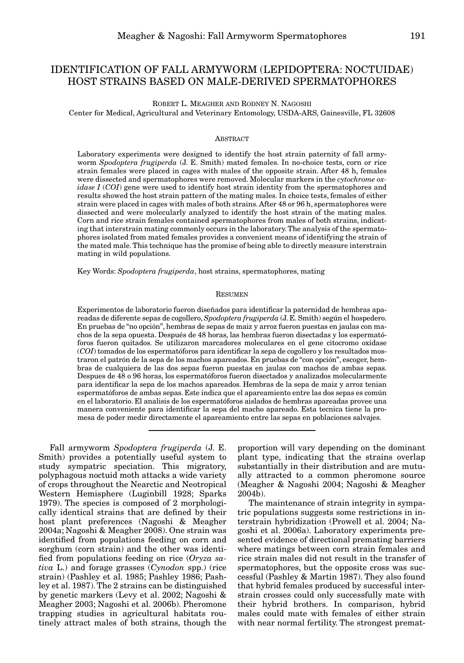# IDENTIFICATION OF FALL ARMYWORM (LEPIDOPTERA: NOCTUIDAE) HOST STRAINS BASED ON MALE-DERIVED SPERMATOPHORES

ROBERT L. MEAGHER AND RODNEY N. NAGOSHI

Center for Medical, Agricultural and Veterinary Entomology, USDA-ARS, Gainesville, FL 32608

#### **ABSTRACT**

Laboratory experiments were designed to identify the host strain paternity of fall armyworm *Spodoptera frugiperda* (J. E. Smith) mated females. In no-choice tests, corn or rice strain females were placed in cages with males of the opposite strain. After 48 h, females were dissected and spermatophores were removed. Molecular markers in the *cytochrome oxidase I* (*COI*) gene were used to identify host strain identity from the spermatophores and results showed the host strain pattern of the mating males. In choice tests, females of either strain were placed in cages with males of both strains. After 48 or 96 h, spermatophores were dissected and were molecularly analyzed to identify the host strain of the mating males. Corn and rice strain females contained spermatophores from males of both strains, indicating that interstrain mating commonly occurs in the laboratory. The analysis of the spermatophores isolated from mated females provides a convenient means of identifying the strain of the mated male. This technique has the promise of being able to directly measure interstrain mating in wild populations.

Key Words: *Spodoptera frugiperda*, host strains, spermatophores, mating

## RESUMEN

Experimentos de laboratorio fueron diseñados para identificar la paternidad de hembras apareadas de diferente sepas de cogollero, *Spodoptera frugiperda* (J. E. Smith) según el hospedero. En pruebas de "no opción", hembras de sepas de maiz y arroz fueron puestas en jaulas con machos de la sepa opuesta. Después de 48 horas, las hembras fueron disectadas y los espermatóforos fueron quitados. Se utilizaron marcadores moleculares en el gene citocromo oxidase (*COI*) tomados de los espermatóforos para identificar la sepa de cogollero y los resultados mostraron el patrón de la sepa de los machos apareados. En pruebas de "con opción", escoger, hembras de cualquiera de las dos sepas fueron puestas en jaulas con machos de ambas sepas. Despues de 48 o 96 horas, los espermatóforos fueron disectados y analizados molecularmente para identificar la sepa de los machos apareados. Hembras de la sepa de maiz y arroz tenian espermatóforos de ambas sepas. Este indica que el apareamiento entre las dos sepas es común en el laboratorio. El analisis de los espermatóforos aislados de hembras apareadas provee una manera conveniente para identificar la sepa del macho apareado. Esta tecnica tiene la promesa de poder medir directamente el apareamiento entre las sepas en poblaciones salvajes.

Fall armyworm *Spodoptera frugiperda* (J. E. Smith) provides a potentially useful system to study sympatric speciation. This migratory, polyphagous noctuid moth attacks a wide variety of crops throughout the Nearctic and Neotropical Western Hemisphere (Luginbill 1928; Sparks 1979). The species is composed of 2 morphologically identical strains that are defined by their host plant preferences (Nagoshi & Meagher 2004a; Nagoshi & Meagher 2008). One strain was identified from populations feeding on corn and sorghum (corn strain) and the other was identified from populations feeding on rice (*Oryza sativa* L.) and forage grasses (*Cynodon* spp.) (rice strain) (Pashley et al. 1985; Pashley 1986; Pashley et al. 1987). The 2 strains can be distinguished by genetic markers (Levy et al. 2002; Nagoshi & Meagher 2003; Nagoshi et al. 2006b). Pheromone trapping studies in agricultural habitats routinely attract males of both strains, though the

proportion will vary depending on the dominant plant type, indicating that the strains overlap substantially in their distribution and are mutually attracted to a common pheromone source (Meagher & Nagoshi 2004; Nagoshi & Meagher 2004b).

The maintenance of strain integrity in sympatric populations suggests some restrictions in interstrain hybridization (Prowell et al. 2004; Nagoshi et al. 2006a). Laboratory experiments presented evidence of directional premating barriers where matings between corn strain females and rice strain males did not result in the transfer of spermatophores, but the opposite cross was successful (Pashley & Martin 1987). They also found that hybrid females produced by successful interstrain crosses could only successfully mate with their hybrid brothers. In comparison, hybrid males could mate with females of either strain with near normal fertility. The strongest premat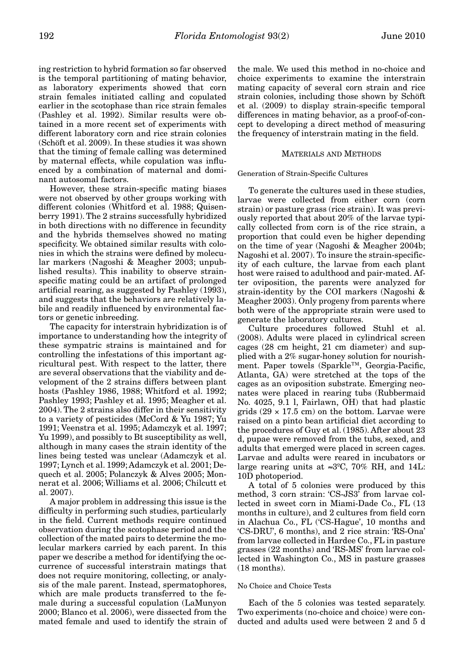ing restriction to hybrid formation so far observed is the temporal partitioning of mating behavior, as laboratory experiments showed that corn strain females initiated calling and copulated earlier in the scotophase than rice strain females (Pashley et al. 1992). Similar results were obtained in a more recent set of experiments with different laboratory corn and rice strain colonies (Schöft et al. 2009). In these studies it was shown that the timing of female calling was determined by maternal effects, while copulation was influenced by a combination of maternal and dominant autosomal factors.

However, these strain-specific mating biases were not observed by other groups working with different colonies (Whitford et al. 1988; Quisenberry 1991). The 2 strains successfully hybridized in both directions with no difference in fecundity and the hybrids themselves showed no mating specificity. We obtained similar results with colonies in which the strains were defined by molecular markers (Nagoshi & Meagher 2003; unpublished results). This inability to observe strainspecific mating could be an artifact of prolonged artificial rearing, as suggested by Pashley (1993), and suggests that the behaviors are relatively labile and readily influenced by environmental factors or genetic inbreeding.

The capacity for interstrain hybridization is of importance to understanding how the integrity of these sympatric strains is maintained and for controlling the infestations of this important agricultural pest. With respect to the latter, there are several observations that the viability and development of the 2 strains differs between plant hosts (Pashley 1986, 1988; Whitford et al. 1992; Pashley 1993; Pashley et al. 1995; Meagher et al. 2004). The 2 strains also differ in their sensitivity to a variety of pesticides (McCord & Yu 1987; Yu 1991; Veenstra et al. 1995; Adamczyk et al. 1997; Yu 1999), and possibly to Bt susceptibility as well, although in many cases the strain identity of the lines being tested was unclear (Adamczyk et al. 1997; Lynch et al. 1999; Adamczyk et al. 2001; Dequech et al. 2005; Polanczyk & Alves 2005; Monnerat et al. 2006; Williams et al. 2006; Chilcutt et al. 2007).

A major problem in addressing this issue is the difficulty in performing such studies, particularly in the field. Current methods require continued observation during the scotophase period and the collection of the mated pairs to determine the molecular markers carried by each parent. In this paper we describe a method for identifying the occurrence of successful interstrain matings that does not require monitoring, collecting, or analysis of the male parent. Instead, spermatophores, which are male products transferred to the female during a successful copulation (LaMunyon 2000; Blanco et al. 2006), were dissected from the mated female and used to identify the strain of

the male. We used this method in no-choice and choice experiments to examine the interstrain mating capacity of several corn strain and rice strain colonies, including those shown by Schöft et al. (2009) to display strain-specific temporal differences in mating behavior, as a proof-of-concept to developing a direct method of measuring the frequency of interstrain mating in the field.

# MATERIALS AND METHODS

#### Generation of Strain-Specific Cultures

To generate the cultures used in these studies, larvae were collected from either corn (corn strain) or pasture grass (rice strain). It was previously reported that about 20% of the larvae typically collected from corn is of the rice strain, a proportion that could even be higher depending on the time of year (Nagoshi & Meagher 2004b; Nagoshi et al. 2007). To insure the strain-specificity of each culture, the larvae from each plant host were raised to adulthood and pair-mated. After oviposition, the parents were analyzed for strain-identity by the COI markers (Nagoshi & Meagher 2003). Only progeny from parents where both were of the appropriate strain were used to generate the laboratory cultures.

Culture procedures followed Stuhl et al. (2008). Adults were placed in cylindrical screen cages (28 cm height, 21 cm diameter) and supplied with a 2% sugar-honey solution for nourishment. Paper towels (Sparkle™, Georgia-Pacific, Atlanta, GA) were stretched at the tops of the cages as an oviposition substrate. Emerging neonates were placed in rearing tubs (Rubbermaid No. 4025, 9.1 l, Fairlawn, OH) that had plastic grids  $(29 \times 17.5 \text{ cm})$  on the bottom. Larvae were raised on a pinto bean artificial diet according to the procedures of Guy et al. (1985). After about 23 d, pupae were removed from the tubs, sexed, and adults that emerged were placed in screen cages. Larvae and adults were reared in incubators or large rearing units at  $\approx 3^{\circ}$ C, 70% RH, and 14L: 10D photoperiod.

A total of 5 colonies were produced by this method, 3 corn strain: 'CS-JS3' from larvae collected in sweet corn in Miami-Dade Co., FL (13 months in culture), and 2 cultures from field corn in Alachua Co., FL ('CS-Hague', 10 months and 'CS-DRU', 6 months), and 2 rice strain: 'RS-Ona' from larvae collected in Hardee Co., FL in pasture grasses (22 months) and 'RS-MS' from larvae collected in Washington Co., MS in pasture grasses (18 months).

## No Choice and Choice Tests

Each of the 5 colonies was tested separately. Two experiments (no-choice and choice) were conducted and adults used were between 2 and 5 d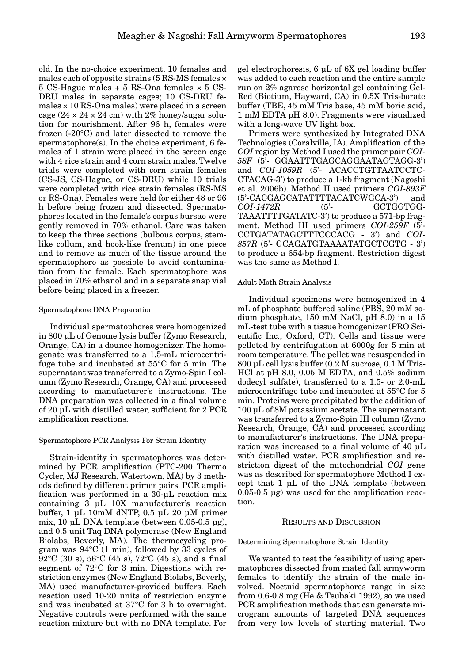old. In the no-choice experiment, 10 females and males each of opposite strains (5 RS-MS females × 5 CS-Hague males + 5 RS-Ona females × 5 CS-DRU males in separate cages; 10 CS-DRU fe $males \times 10$  RS-Ona males) were placed in a screen cage  $(24 \times 24 \times 24 \text{ cm})$  with 2% honey/sugar solution for nourishment. After 96 h, females were frozen (-20°C) and later dissected to remove the spermatophore(s). In the choice experiment, 6 females of 1 strain were placed in the screen cage with 4 rice strain and 4 corn strain males. Twelve trials were completed with corn strain females (CS-JS, CS-Hague, or CS-DRU) while 10 trials were completed with rice strain females (RS-MS or RS-Ona). Females were held for either 48 or 96 h before being frozen and dissected. Spermatophores located in the female's corpus bursae were gently removed in 70% ethanol. Care was taken to keep the three sections (bulbous corpus, stemlike collum, and hook-like frenum) in one piece and to remove as much of the tissue around the spermatophore as possible to avoid contamination from the female. Each spermatophore was placed in 70% ethanol and in a separate snap vial before being placed in a freezer.

## Spermatophore DNA Preparation

Individual spermatophores were homogenized in 800 µL of Genome lysis buffer (Zymo Research, Orange, CA) in a dounce homogenizer. The homogenate was transferred to a 1.5-mL microcentrifuge tube and incubated at 55°C for 5 min. The supernatant was transferred to a Zymo-Spin I column (Zymo Research, Orange, CA) and processed according to manufacturer's instructions. The DNA preparation was collected in a final volume of 20 µL with distilled water, sufficient for 2 PCR amplification reactions.

#### Spermatophore PCR Analysis For Strain Identity

Strain-identity in spermatophores was determined by PCR amplification (PTC-200 Thermo Cycler, MJ Research, Watertown, MA) by 3 methods defined by different primer pairs. PCR amplification was performed in a 30-µL reaction mix containing 3 µL 10X manufacturer's reaction buffer, 1 µL 10mM dNTP, 0.5 µL 20 µM primer mix, 10 µL DNA template (between 0.05-0.5 µg), and 0.5 unit Taq DNA polymerase (New England Biolabs, Beverly, MA). The thermocycling program was 94°C (1 min), followed by 33 cycles of 92°C (30 s), 56°C (45 s), 72°C (45 s), and a final segment of 72°C for 3 min. Digestions with restriction enzymes (New England Biolabs, Beverly, MA) used manufacturer-provided buffers. Each reaction used 10-20 units of restriction enzyme and was incubated at 37°C for 3 h to overnight. Negative controls were performed with the same reaction mixture but with no DNA template. For

gel electrophoresis, 6 µL of 6X gel loading buffer was added to each reaction and the entire sample run on 2% agarose horizontal gel containing Gel-Red (Biotium, Hayward, CA) in 0.5X Tris-borate buffer (TBE, 45 mM Tris base, 45 mM boric acid, 1 mM EDTA pH 8.0). Fragments were visualized with a long-wave UV light box.

Primers were synthesized by Integrated DNA Technologies (Coralville, IA). Amplification of the *COI* region by Method I used the primer pair *COI-58F* (5'- GGAATTTGAGCAGGAATAGTAGG-3') and *COI-1059R* (5'- ACACCTGTTAATCCTC-CTACAG-3') to produce a 1-kb fragment (Nagoshi et al. 2006b). Method II used primers *COI-893F* (5'-CACGAGCATATTTTACATCWGCA-3') and *COI-1472R* (5'- GCTGGTGG-TAAATTTTGATATC-3') to produce a 571-bp fragment. Method III used primers *COI-259F* (5'- CCTGATATAGCTTTCCCACG - 3') and *COI-857R* (5'- GCAGATGTAAAATATGCTCGTG - 3') to produce a 654-bp fragment. Restriction digest was the same as Method I.

## Adult Moth Strain Analysis

Individual specimens were homogenized in 4 mL of phosphate buffered saline (PBS, 20 mM sodium phosphate, 150 mM NaCl, pH 8.0) in a 15 mL-test tube with a tissue homogenizer (PRO Scientific Inc., Oxford, CT). Cells and tissue were pelleted by centrifugation at 6000g for 5 min at room temperature. The pellet was resuspended in 800 µL cell lysis buffer (0.2 M sucrose, 0.1 M Tris-HCl at pH 8.0, 0.05 M EDTA, and 0.5% sodium dodecyl sulfate), transferred to a 1.5- or 2.0-mL microcentrifuge tube and incubated at 55°C for 5 min. Proteins were precipitated by the addition of 100 µL of 8M potassium acetate. The supernatant was transferred to a Zymo-Spin III column (Zymo Research, Orange, CA) and processed according to manufacturer's instructions. The DNA preparation was increased to a final volume of 40 µL with distilled water. PCR amplification and restriction digest of the mitochondrial *COI* gene was as described for spermatophore Method I except that 1 µL of the DNA template (between 0.05-0.5 µg) was used for the amplification reaction.

# RESULTS AND DISCUSSION

### Determining Spermatophore Strain Identity

We wanted to test the feasibility of using spermatophores dissected from mated fall armyworm females to identify the strain of the male involved. Noctuid spermatophores range in size from 0.6-0.8 mg (He & Tsubaki 1992), so we used PCR amplification methods that can generate microgram amounts of targeted DNA sequences from very low levels of starting material. Two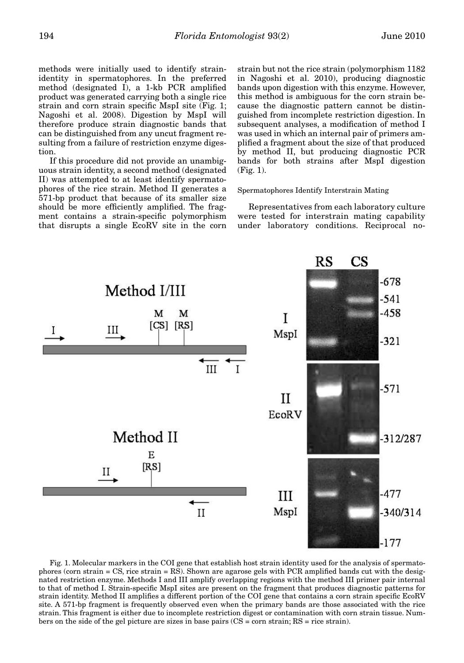methods were initially used to identify strainidentity in spermatophores. In the preferred method (designated I), a 1-kb PCR amplified product was generated carrying both a single rice strain and corn strain specific MspI site (Fig. 1; Nagoshi et al. 2008). Digestion by MspI will therefore produce strain diagnostic bands that can be distinguished from any uncut fragment resulting from a failure of restriction enzyme digestion.

If this procedure did not provide an unambiguous strain identity, a second method (designated II) was attempted to at least identify spermatophores of the rice strain. Method II generates a 571-bp product that because of its smaller size should be more efficiently amplified. The fragment contains a strain-specific polymorphism that disrupts a single EcoRV site in the corn strain but not the rice strain (polymorphism 1182 in Nagoshi et al. 2010), producing diagnostic bands upon digestion with this enzyme. However, this method is ambiguous for the corn strain because the diagnostic pattern cannot be distinguished from incomplete restriction digestion. In subsequent analyses, a modification of method I was used in which an internal pair of primers amplified a fragment about the size of that produced by method II, but producing diagnostic PCR bands for both strains after MspI digestion (Fig. 1).

# Spermatophores Identify Interstrain Mating

Representatives from each laboratory culture were tested for interstrain mating capability under laboratory conditions. Reciprocal no-



Fig. 1. Molecular markers in the COI gene that establish host strain identity used for the analysis of spermatophores (corn strain = CS, rice strain = RS). Shown are agarose gels with PCR amplified bands cut with the designated restriction enzyme. Methods I and III amplify overlapping regions with the method III primer pair internal to that of method I. Strain-specific MspI sites are present on the fragment that produces diagnostic patterns for strain identity. Method II amplifies a different portion of the COI gene that contains a corn strain specific EcoRV site. A 571-bp fragment is frequently observed even when the primary bands are those associated with the rice strain. This fragment is either due to incomplete restriction digest or contamination with corn strain tissue. Numbers on the side of the gel picture are sizes in base pairs  $\text{CS} = \text{corn strain}$ ;  $\text{RS} = \text{rice strain}$ ).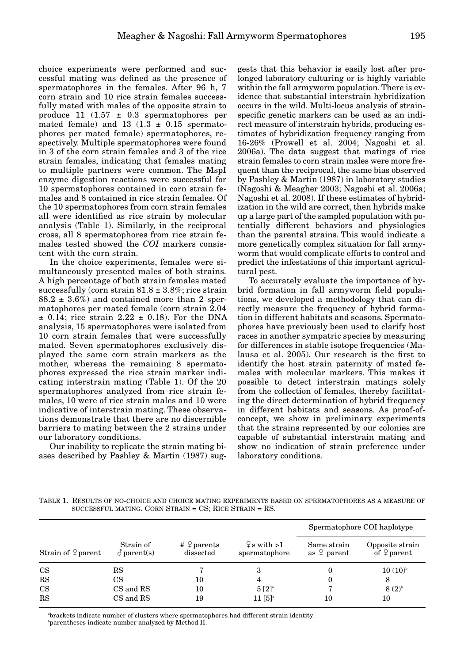choice experiments were performed and successful mating was defined as the presence of spermatophores in the females. After 96 h, 7 corn strain and 10 rice strain females successfully mated with males of the opposite strain to produce 11  $(1.57 \pm 0.3$  spermatophores per mated female) and 13  $(1.3 \pm 0.15$  spermatophores per mated female) spermatophores, respectively. Multiple spermatophores were found in 3 of the corn strain females and 3 of the rice strain females, indicating that females mating to multiple partners were common. The MspI enzyme digestion reactions were successful for 10 spermatophores contained in corn strain females and 8 contained in rice strain females. Of the 10 spermatophores from corn strain females all were identified as rice strain by molecular analysis (Table 1). Similarly, in the reciprocal cross, all 8 spermatophores from rice strain females tested showed the *COI* markers consistent with the corn strain.

In the choice experiments, females were simultaneously presented males of both strains. A high percentage of both strain females mated successfully (corn strain  $81.8 \pm 3.8\%$ ; rice strain  $88.2 \pm 3.6\%$ ) and contained more than 2 spermatophores per mated female (corn strain 2.04  $\pm$  0.14; rice strain 2.22  $\pm$  0.18). For the DNA analysis, 15 spermatophores were isolated from 10 corn strain females that were successfully mated. Seven spermatophores exclusively displayed the same corn strain markers as the mother, whereas the remaining 8 spermatophores expressed the rice strain marker indicating interstrain mating (Table 1). Of the 20 spermatophores analyzed from rice strain females, 10 were of rice strain males and 10 were indicative of interstrain mating. These observations demonstrate that there are no discernible barriers to mating between the 2 strains under our laboratory conditions.

Our inability to replicate the strain mating biases described by Pashley & Martin (1987) suggests that this behavior is easily lost after prolonged laboratory culturing or is highly variable within the fall armyworm population. There is evidence that substantial interstrain hybridization occurs in the wild. Multi-locus analysis of strainspecific genetic markers can be used as an indirect measure of interstrain hybrids, producing estimates of hybridization frequency ranging from 16-26% (Prowell et al. 2004; Nagoshi et al. 2006a). The data suggest that matings of rice strain females to corn strain males were more frequent than the reciprocal, the same bias observed by Pashley & Martin (1987) in laboratory studies (Nagoshi & Meagher 2003; Nagoshi et al. 2006a; Nagoshi et al. 2008). If these estimates of hybridization in the wild are correct, then hybrids make up a large part of the sampled population with potentially different behaviors and physiologies than the parental strains. This would indicate a more genetically complex situation for fall armyworm that would complicate efforts to control and predict the infestations of this important agricultural pest.

To accurately evaluate the importance of hybrid formation in fall armyworm field populations, we developed a methodology that can directly measure the frequency of hybrid formation in different habitats and seasons. Spermatophores have previously been used to clarify host races in another sympatric species by measuring for differences in stable isotope frequencies (Malausa et al. 2005). Our research is the first to identify the host strain paternity of mated females with molecular markers. This makes it possible to detect interstrain matings solely from the collection of females, thereby facilitating the direct determination of hybrid frequency in different habitats and seasons. As proof-ofconcept, we show in preliminary experiments that the strains represented by our colonies are capable of substantial interstrain mating and show no indication of strain preference under laboratory conditions.

TABLE 1. RESULTS OF NO-CHOICE AND CHOICE MATING EXPERIMENTS BASED ON SPERMATOPHORES AS A MEASURE OF SUCCESSFUL MATING. CORN STRAIN = CS; RICE STRAIN = RS.

| Strain of $\frac{1}{2}$ parent | Strain of<br>$\delta$ parent(s) | # $\varphi$ parents<br>dissected | $\frac{6}{5}$ s with $>1$<br>spermatophore | Spermatophore COI haplotype            |                                        |
|--------------------------------|---------------------------------|----------------------------------|--------------------------------------------|----------------------------------------|----------------------------------------|
|                                |                                 |                                  |                                            | Same strain<br>as $\frac{6}{7}$ parent | Opposite strain<br>of $\varphi$ parent |
| $_{\rm CS}$                    | $_{\rm RS}$                     |                                  | 3                                          | 0                                      | $10(10)^{b}$                           |
| RS                             | CS                              | 10                               | 4                                          | 0                                      | 8                                      |
| CS                             | CS and RS                       | 10                               | $5 \, \lceil 2 \rceil^{\rm a}$             |                                        | $8(2)^{b}$                             |
| RS                             | CS and RS                       | 19                               | $11 [5]^a$                                 | 10                                     | 10                                     |

a brackets indicate number of clusters where spermatophores had different strain identity. b parentheses indicate number analyzed by Method II.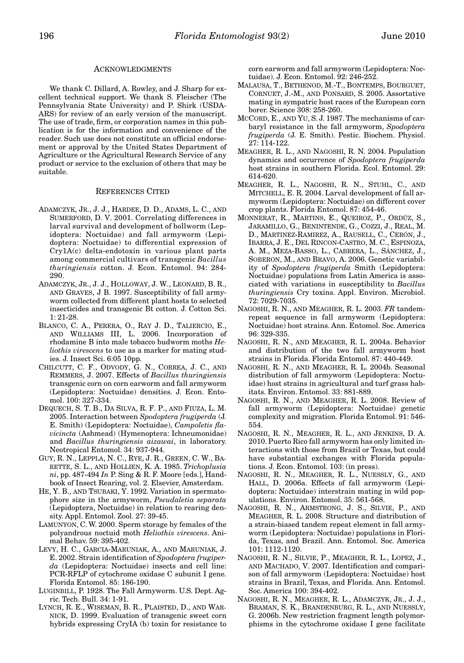#### ACKNOWLEDGMENTS

We thank C. Dillard, A. Rowley, and J. Sharp for excellent technical support. We thank S. Fleischer (The Pennsylvania State University) and P. Shirk (USDA-ARS) for review of an early version of the manuscript. The use of trade, firm, or corporation names in this publication is for the information and convenience of the reader. Such use does not constitute an official endorsement or approval by the United States Department of Agriculture or the Agricultural Research Service of any product or service to the exclusion of others that may be suitable.

# REFERENCES CITED

- ADAMCZYK, JR., J. J., HARDEE, D. D., ADAMS, L. C., AND SUMERFORD, D. V. 2001. Correlating differences in larval survival and development of bollworm (Lepidoptera: Noctuidae) and fall armyworm (Lepidoptera: Noctuidae) to differential expression of Cry1A(c) delta-endotoxin in various plant parts among commercial cultivars of transgenic *Bacillus thuringiensis* cotton. J. Econ. Entomol. 94: 284- 290.
- ADAMCZYK, JR., J. J., HOLLOWAY, J. W., LEONARD, B. R., AND GRAVES, J B. 1997. Susceptibility of fall armyworm collected from different plant hosts to selected insecticides and transgenic Bt cotton. J. Cotton Sci. 1: 21-28.
- BLANCO, C. A., PERERA, O., RAY J. D., TALIERCIO, E., AND WILLIAMS III, L. 2006. Incorporation of rhodamine B into male tobacco budworm moths *Heliothis virescens* to use as a marker for mating studies. J. Insect Sci. 6:05 10pp.
- CHILCUTT, C. F., ODVODY, G. N., CORREA, J. C., AND REMMERS, J. 2007. Effects of *Bacillus thuringiensis* transgenic corn on corn earworm and fall armyworm (Lepidoptera: Noctuidae) densities. J. Econ. Entomol. 100: 327-334.
- DEQUECH, S. T. B., DA SILVA, R. F. P., AND FIUZA, L. M. 2005. Interaction between *Spodoptera frugiperda* (J. E. Smith) (Lepidoptera: Noctuidae), *Campoletis flavicincta* (Ashmead) (Hymenoptera: Ichneumonidae) and *Bacillus thuringiensis aizawai*, in laboratory. Neotropical Entomol. 34: 937-944.
- GUY, R. N., LEPPLA, N. C., RYE, J. R., GREEN, C. W., BA-RETTE, S. L., AND HOLLIEN, K. A. 1985. *Trichoplusia ni*, pp. 487-494 *In* P. Sing & R. F. Moore [eds.], Handbook of Insect Rearing, vol. 2. Elsevier, Amsterdam.
- HE, Y. B., AND TSUBAKI, Y. 1992. Variation in spermatophore size in the armyworm, *Pseudaletia separata* (Lepidoptera, Noctuidae) in relation to rearing density. Appl. Entomol. Zool. 27: 39-45.
- LAMUNYON, C. W. 2000. Sperm storage by females of the polyandrous noctuid moth *Heliothis virescens*. Animal Behav. 59: 395-402.
- LEVY, H. C., GARCIA-MARUNIAK, A., AND MARUNIAK, J. E. 2002. Strain identification of *Spodoptera frugiperda* (Lepidoptera: Noctuidae) insects and cell line: PCR-RFLP of cytochrome oxidase C subunit I gene. Florida Entomol. 85: 186-190.
- LUGINBILL, P. 1928. The Fall Armyworm. U.S. Dept. Agric. Tech. Bull. 34: 1-91.
- LYNCH, R. E., WISEMAN, B. R., PLAISTED, D., AND WAR-NICK, D. 1999. Evaluation of transgenic sweet corn hybrids expressing CryIA (b) toxin for resistance to

corn earworm and fall armyworm (Lepidoptera: Noctuidae). J. Econ. Entomol. 92: 246-252.

- MALAUSA, T., BETHENOD, M.-T., BONTEMPS, BOURGUET, CORNUET, J.-M., AND PONSARD, S. 2005. Assortative mating in sympatric host races of the European corn borer. Science 308: 258-260.
- MCCORD, E., AND YU, S. J. 1987. The mechanisms of carbaryl resistance in the fall armyworm, *Spodoptera frugiperda* (J. E. Smith). Pestic. Biochem. Physiol. 27: 114-122.
- MEAGHER, R. L., AND NAGOSHI, R. N. 2004. Population dynamics and occurrence of *Spodoptera frugiperda* host strains in southern Florida. Ecol. Entomol. 29: 614-620.
- MEAGHER, R. L., NAGOSHI, R. N., STUHL, C., AND MITCHELL, E. R. 2004. Larval development of fall armyworm (Lepidoptera: Noctuidae) on different cover crop plants. Florida Entomol. 87: 454-46.
- MONNERAT, R., MARTINS, E., QUEIROZ, P., ORDÚZ, S., JARAMILLO, G., BENINTENDE, G., COZZI, J., REAL, M. D., MARTINEZ-RAMIREZ, A., RAUSELL, C., CERÓN, J., IBARRA, J. E., DEL RINCON-CASTRO, M. C., ESPINOZA, A. M., MEZA-BASSO, L., CABRERA, L., SÁNCHEZ, J., SOBERON, M., AND BRAVO, A. 2006. Genetic variability of *Spodoptera frugiperda* Smith (Lepidoptera: Noctuidae) populations from Latin America is associated with variations in susceptibility to *Bacillus thuringiensis* Cry toxins. Appl. Environ. Microbiol. 72: 7029-7035.
- NAGOSHI, R. N., AND MEAGHER, R. L. 2003. *FR* tandemrepeat sequence in fall armyworm (Lepidoptera: Noctuidae) host strains. Ann. Entomol. Soc. America 96: 329-335.
- NAGOSHI, R. N., AND MEAGHER, R. L. 2004a. Behavior and distribution of the two fall armyworm host strains in Florida. Florida Entomol. 87: 440-449.
- NAGOSHI, R. N., AND MEAGHER, R. L. 2004b. Seasonal distribution of fall armyworm (Lepidoptera: Noctuidae) host strains in agricultural and turf grass habitats. Environ. Entomol. 33: 881-889.
- NAGOSHI, R. N., AND MEAGHER, R. L. 2008. Review of fall armyworm (Lepidoptera: Noctuidae) genetic complexity and migration. Florida Entomol. 91: 546- 554.
- NAGOSHI, R. N., MEAGHER, R. L., AND JENKINS, D. A. 2010. Puerto Rico fall armyworm has only limited interactions with those from Brazil or Texas, but could have substantial exchanges with Florida populations. J. Econ. Entomol. 103: (in press).
- NAGOSHI, R. N., MEAGHER, R. L., NUESSLY, G., AND HALL, D. 2006a. Effects of fall armyworm (Lepidoptera: Noctuidae) interstrain mating in wild populations. Environ. Entomol. 35: 561-568.
- NAGOSHI, R. N., ARMSTRONG, J. S., SILVIE, P., AND MEAGHER, R. L. 2008. Structure and distribution of a strain-biased tandem repeat element in fall armyworm (Lepidoptera: Noctuidae) populations in Florida, Texas, and Brazil. Ann. Entomol. Soc. America 101: 1112-1120.
- NAGOSHI, R. N., SILVIE, P., MEAGHER, R. L., LOPEZ, J., AND MACHADO, V. 2007. Identification and comparison of fall armyworm (Lepidoptera: Noctuidae) host strains in Brazil, Texas, and Florida. Ann. Entomol. Soc. America 100: 394-402.
- NAGOSHI, R. N., MEAGHER, R. L., ADAMCZYK, JR., J. J., BRAMAN, S. K., BRANDENBURG, R. L., AND NUESSLY, G. 2006b. New restriction fragment length polymorphisms in the cytochrome oxidase I gene facilitate